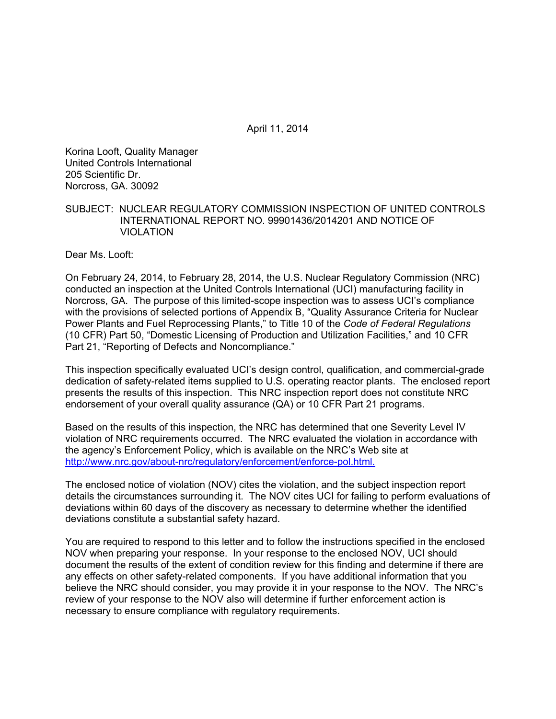April 11, 2014

Korina Looft, Quality Manager United Controls International 205 Scientific Dr. Norcross, GA. 30092

#### SUBJECT: NUCLEAR REGULATORY COMMISSION INSPECTION OF UNITED CONTROLS INTERNATIONAL REPORT NO. 99901436/2014201 AND NOTICE OF VIOLATION

Dear Ms. Looft:

On February 24, 2014, to February 28, 2014, the U.S. Nuclear Regulatory Commission (NRC) conducted an inspection at the United Controls International (UCI) manufacturing facility in Norcross, GA. The purpose of this limited-scope inspection was to assess UCI's compliance with the provisions of selected portions of Appendix B, "Quality Assurance Criteria for Nuclear Power Plants and Fuel Reprocessing Plants," to Title 10 of the *Code of Federal Regulations* (10 CFR) Part 50, "Domestic Licensing of Production and Utilization Facilities," and 10 CFR Part 21, "Reporting of Defects and Noncompliance."

This inspection specifically evaluated UCI's design control, qualification, and commercial-grade dedication of safety-related items supplied to U.S. operating reactor plants. The enclosed report presents the results of this inspection. This NRC inspection report does not constitute NRC endorsement of your overall quality assurance (QA) or 10 CFR Part 21 programs.

Based on the results of this inspection, the NRC has determined that one Severity Level IV violation of NRC requirements occurred. The NRC evaluated the violation in accordance with the agency's Enforcement Policy, which is available on the NRC's Web site at http://www.nrc.gov/about-nrc/regulatory/enforcement/enforce-pol.html.

The enclosed notice of violation (NOV) cites the violation, and the subject inspection report details the circumstances surrounding it. The NOV cites UCI for failing to perform evaluations of deviations within 60 days of the discovery as necessary to determine whether the identified deviations constitute a substantial safety hazard.

You are required to respond to this letter and to follow the instructions specified in the enclosed NOV when preparing your response. In your response to the enclosed NOV, UCI should document the results of the extent of condition review for this finding and determine if there are any effects on other safety-related components. If you have additional information that you believe the NRC should consider, you may provide it in your response to the NOV. The NRC's review of your response to the NOV also will determine if further enforcement action is necessary to ensure compliance with regulatory requirements.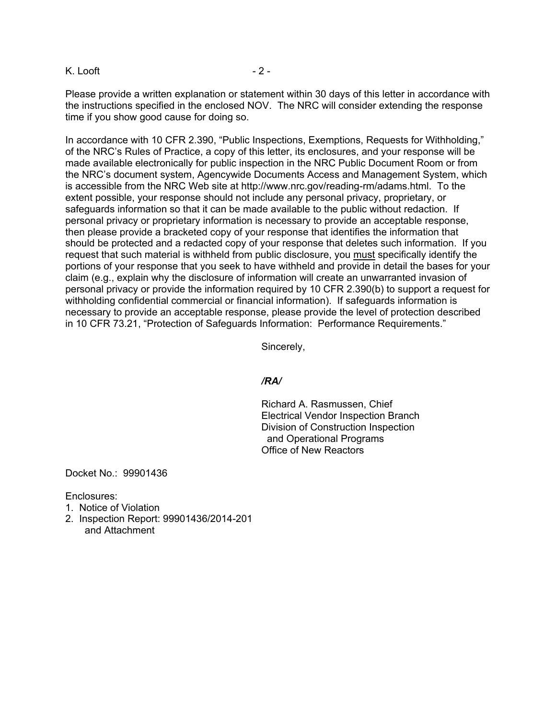#### K. Looft - 2 -

Please provide a written explanation or statement within 30 days of this letter in accordance with the instructions specified in the enclosed NOV. The NRC will consider extending the response time if you show good cause for doing so.

In accordance with 10 CFR 2.390, "Public Inspections, Exemptions, Requests for Withholding," of the NRC's Rules of Practice, a copy of this letter, its enclosures, and your response will be made available electronically for public inspection in the NRC Public Document Room or from the NRC's document system, Agencywide Documents Access and Management System, which is accessible from the NRC Web site at http://www.nrc.gov/reading-rm/adams.html. To the extent possible, your response should not include any personal privacy, proprietary, or safeguards information so that it can be made available to the public without redaction. If personal privacy or proprietary information is necessary to provide an acceptable response, then please provide a bracketed copy of your response that identifies the information that should be protected and a redacted copy of your response that deletes such information. If you request that such material is withheld from public disclosure, you must specifically identify the portions of your response that you seek to have withheld and provide in detail the bases for your claim (e.g., explain why the disclosure of information will create an unwarranted invasion of personal privacy or provide the information required by 10 CFR 2.390(b) to support a request for withholding confidential commercial or financial information). If safeguards information is necessary to provide an acceptable response, please provide the level of protection described in 10 CFR 73.21, "Protection of Safeguards Information: Performance Requirements."

Sincerely,

#### */RA/*

Richard A. Rasmussen, Chief Electrical Vendor Inspection Branch Division of Construction Inspection and Operational Programs Office of New Reactors

Docket No.: 99901436

Enclosures:

- 1. Notice of Violation
- 2. Inspection Report: 99901436/2014-201 and Attachment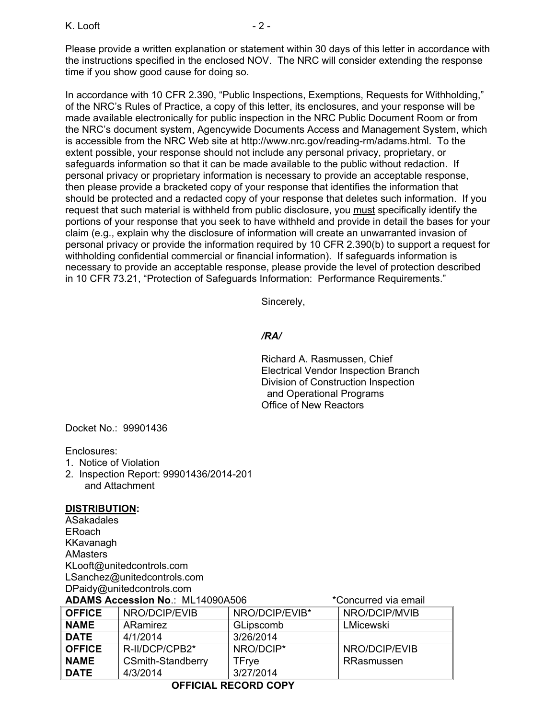K. Looft - 2 -

Please provide a written explanation or statement within 30 days of this letter in accordance with the instructions specified in the enclosed NOV. The NRC will consider extending the response time if you show good cause for doing so.

In accordance with 10 CFR 2.390, "Public Inspections, Exemptions, Requests for Withholding," of the NRC's Rules of Practice, a copy of this letter, its enclosures, and your response will be made available electronically for public inspection in the NRC Public Document Room or from the NRC's document system, Agencywide Documents Access and Management System, which is accessible from the NRC Web site at http://www.nrc.gov/reading-rm/adams.html. To the extent possible, your response should not include any personal privacy, proprietary, or safeguards information so that it can be made available to the public without redaction. If personal privacy or proprietary information is necessary to provide an acceptable response, then please provide a bracketed copy of your response that identifies the information that should be protected and a redacted copy of your response that deletes such information. If you request that such material is withheld from public disclosure, you must specifically identify the portions of your response that you seek to have withheld and provide in detail the bases for your claim (e.g., explain why the disclosure of information will create an unwarranted invasion of personal privacy or provide the information required by 10 CFR 2.390(b) to support a request for withholding confidential commercial or financial information). If safeguards information is necessary to provide an acceptable response, please provide the level of protection described in 10 CFR 73.21, "Protection of Safeguards Information: Performance Requirements."

Sincerely,

## */RA/*

Richard A. Rasmussen, Chief Electrical Vendor Inspection Branch Division of Construction Inspection and Operational Programs Office of New Reactors

Docket No.: 99901436

Enclosures:

- 1. Notice of Violation
- 2. Inspection Report: 99901436/2014-201 and Attachment

## **DISTRIBUTION:**

ASakadales ERoach KKavanagh AMasters KLooft@unitedcontrols.com LSanchez@unitedcontrols.com DPaidy@unitedcontrols.com

## **ADAMS Accession No**.: ML14090A506 \*Concurred via email

| <b>OFFICE</b> | NRO/DCIP/EVIB            | NRO/DCIP/EVIB* | NRO/DCIP/MVIB |
|---------------|--------------------------|----------------|---------------|
| <b>NAME</b>   | ARamirez                 | GLipscomb      | LMicewski     |
| <b>DATE</b>   | 4/1/2014                 | 3/26/2014      |               |
| <b>OFFICE</b> | R-II/DCP/CPB2*           | NRO/DCIP*      | NRO/DCIP/EVIB |
| <b>NAME</b>   | <b>CSmith-Standberry</b> | TFrve          | RRasmussen    |
| <b>DATE</b>   | 4/3/2014                 | 3/27/2014      |               |

# **OFFICIAL RECORD COPY**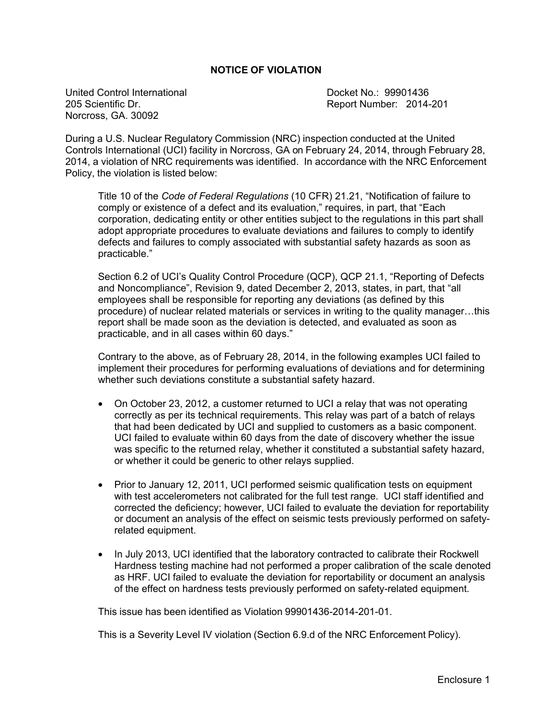#### **NOTICE OF VIOLATION**

United Control International November 2012 10: 09901436 205 Scientific Dr. Report Number: 2014-201 Norcross, GA. 30092

During a U.S. Nuclear Regulatory Commission (NRC) inspection conducted at the United Controls International (UCI) facility in Norcross, GA on February 24, 2014, through February 28, 2014, a violation of NRC requirements was identified. In accordance with the NRC Enforcement Policy, the violation is listed below:

Title 10 of the *Code of Federal Regulations* (10 CFR) 21.21, "Notification of failure to comply or existence of a defect and its evaluation," requires, in part, that "Each corporation, dedicating entity or other entities subject to the regulations in this part shall adopt appropriate procedures to evaluate deviations and failures to comply to identify defects and failures to comply associated with substantial safety hazards as soon as practicable."

Section 6.2 of UCI's Quality Control Procedure (QCP), QCP 21.1, "Reporting of Defects and Noncompliance", Revision 9, dated December 2, 2013, states, in part, that "all employees shall be responsible for reporting any deviations (as defined by this procedure) of nuclear related materials or services in writing to the quality manager…this report shall be made soon as the deviation is detected, and evaluated as soon as practicable, and in all cases within 60 days."

Contrary to the above, as of February 28, 2014, in the following examples UCI failed to implement their procedures for performing evaluations of deviations and for determining whether such deviations constitute a substantial safety hazard.

- On October 23, 2012, a customer returned to UCI a relay that was not operating correctly as per its technical requirements. This relay was part of a batch of relays that had been dedicated by UCI and supplied to customers as a basic component. UCI failed to evaluate within 60 days from the date of discovery whether the issue was specific to the returned relay, whether it constituted a substantial safety hazard, or whether it could be generic to other relays supplied.
- Prior to January 12, 2011, UCI performed seismic qualification tests on equipment with test accelerometers not calibrated for the full test range. UCI staff identified and corrected the deficiency; however, UCI failed to evaluate the deviation for reportability or document an analysis of the effect on seismic tests previously performed on safetyrelated equipment.
- In July 2013, UCI identified that the laboratory contracted to calibrate their Rockwell Hardness testing machine had not performed a proper calibration of the scale denoted as HRF. UCI failed to evaluate the deviation for reportability or document an analysis of the effect on hardness tests previously performed on safety-related equipment.

This issue has been identified as Violation 99901436-2014-201-01.

This is a Severity Level IV violation (Section 6.9.d of the NRC Enforcement Policy).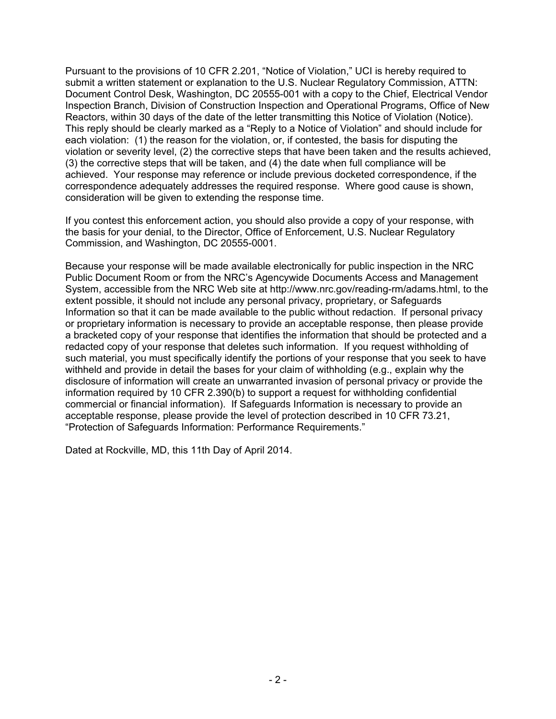Pursuant to the provisions of 10 CFR 2.201, "Notice of Violation," UCI is hereby required to submit a written statement or explanation to the U.S. Nuclear Regulatory Commission, ATTN: Document Control Desk, Washington, DC 20555-001 with a copy to the Chief, Electrical Vendor Inspection Branch, Division of Construction Inspection and Operational Programs, Office of New Reactors, within 30 days of the date of the letter transmitting this Notice of Violation (Notice). This reply should be clearly marked as a "Reply to a Notice of Violation" and should include for each violation: (1) the reason for the violation, or, if contested, the basis for disputing the violation or severity level, (2) the corrective steps that have been taken and the results achieved, (3) the corrective steps that will be taken, and (4) the date when full compliance will be achieved. Your response may reference or include previous docketed correspondence, if the correspondence adequately addresses the required response. Where good cause is shown, consideration will be given to extending the response time.

If you contest this enforcement action, you should also provide a copy of your response, with the basis for your denial, to the Director, Office of Enforcement, U.S. Nuclear Regulatory Commission, and Washington, DC 20555-0001.

Because your response will be made available electronically for public inspection in the NRC Public Document Room or from the NRC's Agencywide Documents Access and Management System, accessible from the NRC Web site at http://www.nrc.gov/reading-rm/adams.html, to the extent possible, it should not include any personal privacy, proprietary, or Safeguards Information so that it can be made available to the public without redaction. If personal privacy or proprietary information is necessary to provide an acceptable response, then please provide a bracketed copy of your response that identifies the information that should be protected and a redacted copy of your response that deletes such information. If you request withholding of such material, you must specifically identify the portions of your response that you seek to have withheld and provide in detail the bases for your claim of withholding (e.g., explain why the disclosure of information will create an unwarranted invasion of personal privacy or provide the information required by 10 CFR 2.390(b) to support a request for withholding confidential commercial or financial information). If Safeguards Information is necessary to provide an acceptable response, please provide the level of protection described in 10 CFR 73.21, "Protection of Safeguards Information: Performance Requirements."

Dated at Rockville, MD, this 11th Day of April 2014.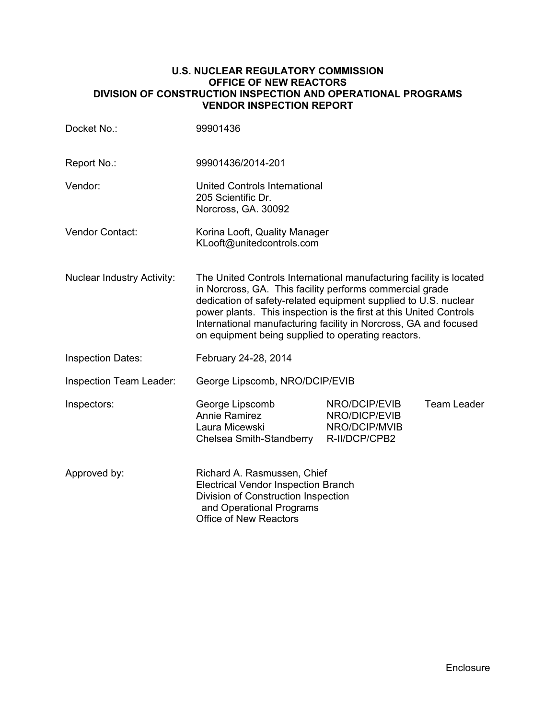#### **U.S. NUCLEAR REGULATORY COMMISSION OFFICE OF NEW REACTORS DIVISION OF CONSTRUCTION INSPECTION AND OPERATIONAL PROGRAMS VENDOR INSPECTION REPORT**

| Docket No.:                       | 99901436                                                                                                                                                                                                                                                                                                                                                                                           |                                                                  |             |
|-----------------------------------|----------------------------------------------------------------------------------------------------------------------------------------------------------------------------------------------------------------------------------------------------------------------------------------------------------------------------------------------------------------------------------------------------|------------------------------------------------------------------|-------------|
| Report No.:                       | 99901436/2014-201                                                                                                                                                                                                                                                                                                                                                                                  |                                                                  |             |
| Vendor:                           | United Controls International<br>205 Scientific Dr.<br>Norcross, GA. 30092                                                                                                                                                                                                                                                                                                                         |                                                                  |             |
| <b>Vendor Contact:</b>            | Korina Looft, Quality Manager<br>KLooft@unitedcontrols.com                                                                                                                                                                                                                                                                                                                                         |                                                                  |             |
| <b>Nuclear Industry Activity:</b> | The United Controls International manufacturing facility is located<br>in Norcross, GA. This facility performs commercial grade<br>dedication of safety-related equipment supplied to U.S. nuclear<br>power plants. This inspection is the first at this United Controls<br>International manufacturing facility in Norcross, GA and focused<br>on equipment being supplied to operating reactors. |                                                                  |             |
| <b>Inspection Dates:</b>          | February 24-28, 2014                                                                                                                                                                                                                                                                                                                                                                               |                                                                  |             |
| Inspection Team Leader:           | George Lipscomb, NRO/DCIP/EVIB                                                                                                                                                                                                                                                                                                                                                                     |                                                                  |             |
| Inspectors:                       | George Lipscomb<br><b>Annie Ramirez</b><br>Laura Micewski<br>Chelsea Smith-Standberry                                                                                                                                                                                                                                                                                                              | NRO/DCIP/EVIB<br>NRO/DICP/EVIB<br>NRO/DCIP/MVIB<br>R-II/DCP/CPB2 | Team Leader |
| Approved by:                      | Richard A. Rasmussen, Chief<br><b>Electrical Vendor Inspection Branch</b><br>Division of Construction Inspection<br>and Operational Programs<br><b>Office of New Reactors</b>                                                                                                                                                                                                                      |                                                                  |             |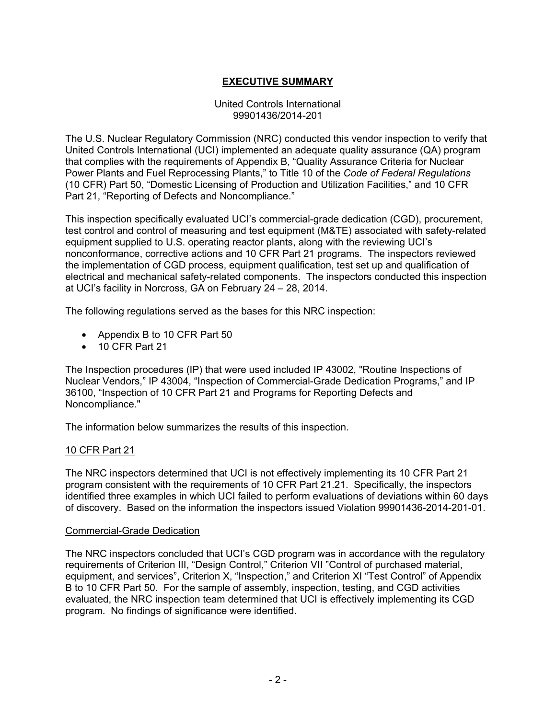# **EXECUTIVE SUMMARY**

#### United Controls International 99901436/2014-201

The U.S. Nuclear Regulatory Commission (NRC) conducted this vendor inspection to verify that United Controls International (UCI) implemented an adequate quality assurance (QA) program that complies with the requirements of Appendix B, "Quality Assurance Criteria for Nuclear Power Plants and Fuel Reprocessing Plants," to Title 10 of the *Code of Federal Regulations*  (10 CFR) Part 50, "Domestic Licensing of Production and Utilization Facilities," and 10 CFR Part 21, "Reporting of Defects and Noncompliance."

This inspection specifically evaluated UCI's commercial-grade dedication (CGD), procurement, test control and control of measuring and test equipment (M&TE) associated with safety-related equipment supplied to U.S. operating reactor plants, along with the reviewing UCI's nonconformance, corrective actions and 10 CFR Part 21 programs. The inspectors reviewed the implementation of CGD process, equipment qualification, test set up and qualification of electrical and mechanical safety-related components. The inspectors conducted this inspection at UCI's facility in Norcross, GA on February 24 – 28, 2014.

The following regulations served as the bases for this NRC inspection:

- Appendix B to 10 CFR Part 50
- 10 CFR Part 21

The Inspection procedures (IP) that were used included IP 43002, "Routine Inspections of Nuclear Vendors," IP 43004, "Inspection of Commercial-Grade Dedication Programs," and IP 36100, "Inspection of 10 CFR Part 21 and Programs for Reporting Defects and Noncompliance."

The information below summarizes the results of this inspection.

## 10 CFR Part 21

The NRC inspectors determined that UCI is not effectively implementing its 10 CFR Part 21 program consistent with the requirements of 10 CFR Part 21.21. Specifically, the inspectors identified three examples in which UCI failed to perform evaluations of deviations within 60 days of discovery. Based on the information the inspectors issued Violation 99901436-2014-201-01.

#### Commercial-Grade Dedication

The NRC inspectors concluded that UCI's CGD program was in accordance with the regulatory requirements of Criterion III, "Design Control," Criterion VII "Control of purchased material, equipment, and services", Criterion X, "Inspection," and Criterion XI "Test Control" of Appendix B to 10 CFR Part 50. For the sample of assembly, inspection, testing, and CGD activities evaluated, the NRC inspection team determined that UCI is effectively implementing its CGD program. No findings of significance were identified.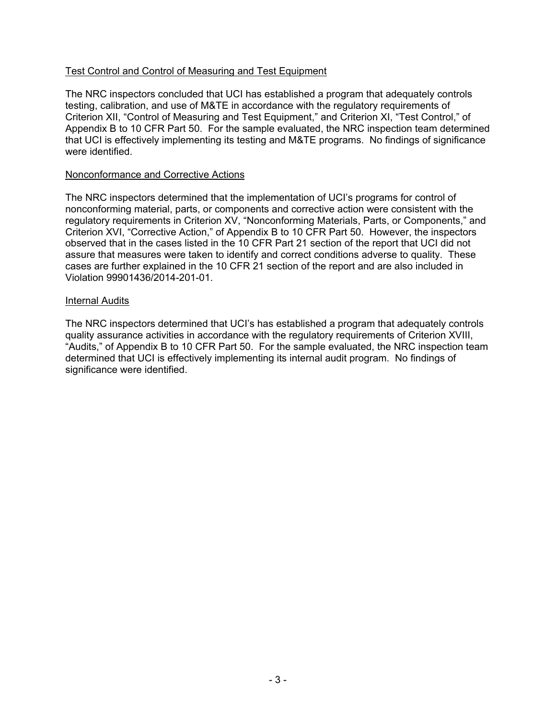## Test Control and Control of Measuring and Test Equipment

The NRC inspectors concluded that UCI has established a program that adequately controls testing, calibration, and use of M&TE in accordance with the regulatory requirements of Criterion XII, "Control of Measuring and Test Equipment," and Criterion XI, "Test Control," of Appendix B to 10 CFR Part 50. For the sample evaluated, the NRC inspection team determined that UCI is effectively implementing its testing and M&TE programs. No findings of significance were identified.

#### Nonconformance and Corrective Actions

The NRC inspectors determined that the implementation of UCI's programs for control of nonconforming material, parts, or components and corrective action were consistent with the regulatory requirements in Criterion XV, "Nonconforming Materials, Parts, or Components," and Criterion XVI, "Corrective Action," of Appendix B to 10 CFR Part 50. However, the inspectors observed that in the cases listed in the 10 CFR Part 21 section of the report that UCI did not assure that measures were taken to identify and correct conditions adverse to quality. These cases are further explained in the 10 CFR 21 section of the report and are also included in Violation 99901436/2014-201-01.

#### Internal Audits

The NRC inspectors determined that UCI's has established a program that adequately controls quality assurance activities in accordance with the regulatory requirements of Criterion XVIII, "Audits," of Appendix B to 10 CFR Part 50. For the sample evaluated, the NRC inspection team determined that UCI is effectively implementing its internal audit program. No findings of significance were identified.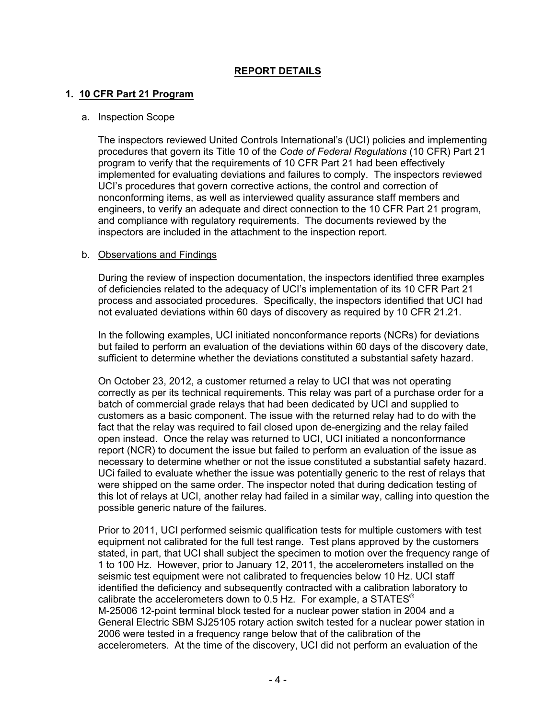## **REPORT DETAILS**

## **1. 10 CFR Part 21 Program**

#### a. Inspection Scope

The inspectors reviewed United Controls International's (UCI) policies and implementing procedures that govern its Title 10 of the *Code of Federal Regulations* (10 CFR) Part 21 program to verify that the requirements of 10 CFR Part 21 had been effectively implemented for evaluating deviations and failures to comply. The inspectors reviewed UCI's procedures that govern corrective actions, the control and correction of nonconforming items, as well as interviewed quality assurance staff members and engineers, to verify an adequate and direct connection to the 10 CFR Part 21 program, and compliance with regulatory requirements. The documents reviewed by the inspectors are included in the attachment to the inspection report.

#### b. Observations and Findings

During the review of inspection documentation, the inspectors identified three examples of deficiencies related to the adequacy of UCI's implementation of its 10 CFR Part 21 process and associated procedures. Specifically, the inspectors identified that UCI had not evaluated deviations within 60 days of discovery as required by 10 CFR 21.21.

In the following examples, UCI initiated nonconformance reports (NCRs) for deviations but failed to perform an evaluation of the deviations within 60 days of the discovery date, sufficient to determine whether the deviations constituted a substantial safety hazard.

On October 23, 2012, a customer returned a relay to UCI that was not operating correctly as per its technical requirements. This relay was part of a purchase order for a batch of commercial grade relays that had been dedicated by UCI and supplied to customers as a basic component. The issue with the returned relay had to do with the fact that the relay was required to fail closed upon de-energizing and the relay failed open instead. Once the relay was returned to UCI, UCI initiated a nonconformance report (NCR) to document the issue but failed to perform an evaluation of the issue as necessary to determine whether or not the issue constituted a substantial safety hazard. UCi failed to evaluate whether the issue was potentially generic to the rest of relays that were shipped on the same order. The inspector noted that during dedication testing of this lot of relays at UCI, another relay had failed in a similar way, calling into question the possible generic nature of the failures.

Prior to 2011, UCI performed seismic qualification tests for multiple customers with test equipment not calibrated for the full test range. Test plans approved by the customers stated, in part, that UCI shall subject the specimen to motion over the frequency range of 1 to 100 Hz. However, prior to January 12, 2011, the accelerometers installed on the seismic test equipment were not calibrated to frequencies below 10 Hz. UCI staff identified the deficiency and subsequently contracted with a calibration laboratory to calibrate the accelerometers down to 0.5 Hz. For example, a STATES $^{\circ}$ M-25006 12-point terminal block tested for a nuclear power station in 2004 and a General Electric SBM SJ25105 rotary action switch tested for a nuclear power station in 2006 were tested in a frequency range below that of the calibration of the accelerometers. At the time of the discovery, UCI did not perform an evaluation of the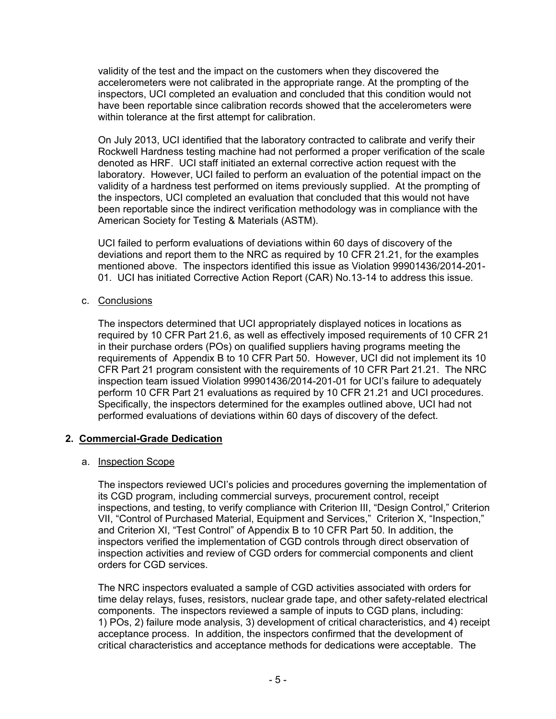validity of the test and the impact on the customers when they discovered the accelerometers were not calibrated in the appropriate range. At the prompting of the inspectors, UCI completed an evaluation and concluded that this condition would not have been reportable since calibration records showed that the accelerometers were within tolerance at the first attempt for calibration.

On July 2013, UCI identified that the laboratory contracted to calibrate and verify their Rockwell Hardness testing machine had not performed a proper verification of the scale denoted as HRF. UCI staff initiated an external corrective action request with the laboratory. However, UCI failed to perform an evaluation of the potential impact on the validity of a hardness test performed on items previously supplied. At the prompting of the inspectors, UCI completed an evaluation that concluded that this would not have been reportable since the indirect verification methodology was in compliance with the American Society for Testing & Materials (ASTM).

UCI failed to perform evaluations of deviations within 60 days of discovery of the deviations and report them to the NRC as required by 10 CFR 21.21, for the examples mentioned above. The inspectors identified this issue as Violation 99901436/2014-201- 01. UCI has initiated Corrective Action Report (CAR) No.13-14 to address this issue.

c. Conclusions

The inspectors determined that UCI appropriately displayed notices in locations as required by 10 CFR Part 21.6, as well as effectively imposed requirements of 10 CFR 21 in their purchase orders (POs) on qualified suppliers having programs meeting the requirements of Appendix B to 10 CFR Part 50. However, UCI did not implement its 10 CFR Part 21 program consistent with the requirements of 10 CFR Part 21.21. The NRC inspection team issued Violation 99901436/2014-201-01 for UCI's failure to adequately perform 10 CFR Part 21 evaluations as required by 10 CFR 21.21 and UCI procedures. Specifically, the inspectors determined for the examples outlined above, UCI had not performed evaluations of deviations within 60 days of discovery of the defect.

## **2. Commercial-Grade Dedication**

## a. Inspection Scope

The inspectors reviewed UCI's policies and procedures governing the implementation of its CGD program, including commercial surveys, procurement control, receipt inspections, and testing, to verify compliance with Criterion III, "Design Control," Criterion VII, "Control of Purchased Material, Equipment and Services," Criterion X, "Inspection," and Criterion XI, "Test Control" of Appendix B to 10 CFR Part 50. In addition, the inspectors verified the implementation of CGD controls through direct observation of inspection activities and review of CGD orders for commercial components and client orders for CGD services.

The NRC inspectors evaluated a sample of CGD activities associated with orders for time delay relays, fuses, resistors, nuclear grade tape, and other safety-related electrical components. The inspectors reviewed a sample of inputs to CGD plans, including: 1) POs, 2) failure mode analysis, 3) development of critical characteristics, and 4) receipt acceptance process. In addition, the inspectors confirmed that the development of critical characteristics and acceptance methods for dedications were acceptable. The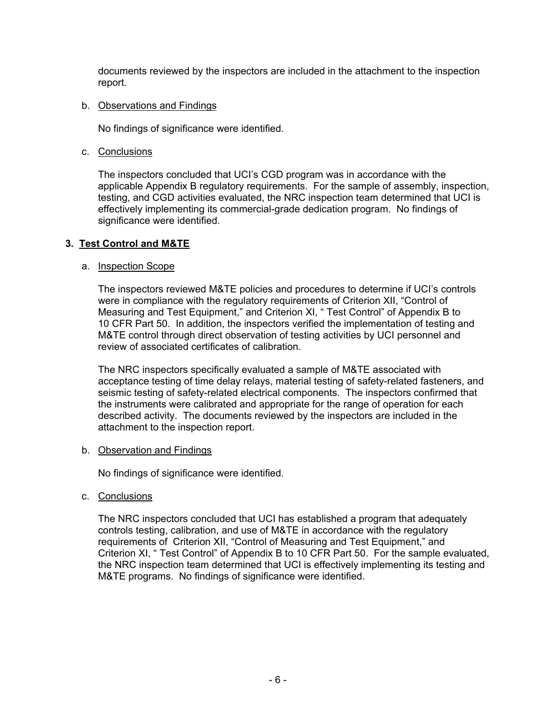documents reviewed by the inspectors are included in the attachment to the inspection report.

#### b. Observations and Findings

No findings of significance were identified.

c. Conclusions

The inspectors concluded that UCI's CGD program was in accordance with the applicable Appendix B regulatory requirements. For the sample of assembly, inspection, testing, and CGD activities evaluated, the NRC inspection team determined that UCI is effectively implementing its commercial-grade dedication program. No findings of significance were identified.

## **3. Test Control and M&TE**

#### a. Inspection Scope

The inspectors reviewed M&TE policies and procedures to determine if UCI's controls were in compliance with the regulatory requirements of Criterion XII, "Control of Measuring and Test Equipment," and Criterion XI, " Test Control" of Appendix B to 10 CFR Part 50. In addition, the inspectors verified the implementation of testing and M&TE control through direct observation of testing activities by UCI personnel and review of associated certificates of calibration.

The NRC inspectors specifically evaluated a sample of M&TE associated with acceptance testing of time delay relays, material testing of safety-related fasteners, and seismic testing of safety-related electrical components. The inspectors confirmed that the instruments were calibrated and appropriate for the range of operation for each described activity. The documents reviewed by the inspectors are included in the attachment to the inspection report.

#### b. Observation and Findings

No findings of significance were identified.

c. Conclusions

The NRC inspectors concluded that UCI has established a program that adequately controls testing, calibration, and use of M&TE in accordance with the regulatory requirements of Criterion XII, "Control of Measuring and Test Equipment," and Criterion XI, " Test Control" of Appendix B to 10 CFR Part 50. For the sample evaluated, the NRC inspection team determined that UCI is effectively implementing its testing and M&TE programs. No findings of significance were identified.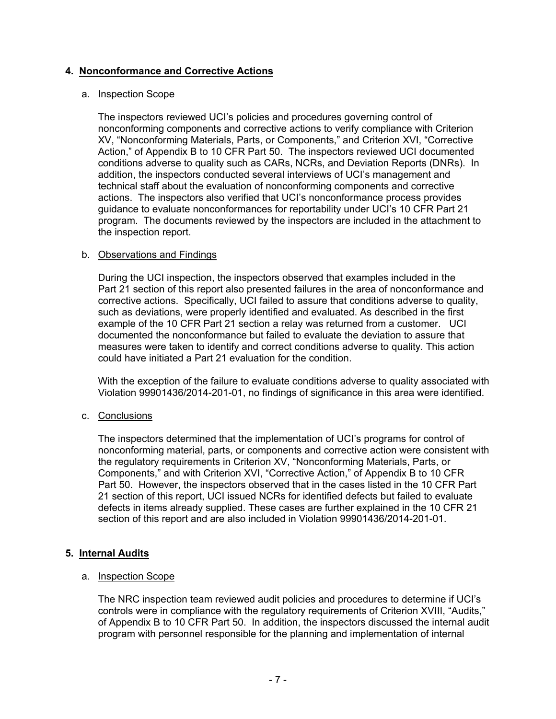## **4. Nonconformance and Corrective Actions**

#### a. Inspection Scope

The inspectors reviewed UCI's policies and procedures governing control of nonconforming components and corrective actions to verify compliance with Criterion XV, "Nonconforming Materials, Parts, or Components," and Criterion XVI, "Corrective Action," of Appendix B to 10 CFR Part 50. The inspectors reviewed UCI documented conditions adverse to quality such as CARs, NCRs, and Deviation Reports (DNRs). In addition, the inspectors conducted several interviews of UCI's management and technical staff about the evaluation of nonconforming components and corrective actions. The inspectors also verified that UCI's nonconformance process provides guidance to evaluate nonconformances for reportability under UCI's 10 CFR Part 21 program. The documents reviewed by the inspectors are included in the attachment to the inspection report.

#### b. Observations and Findings

During the UCI inspection, the inspectors observed that examples included in the Part 21 section of this report also presented failures in the area of nonconformance and corrective actions. Specifically, UCI failed to assure that conditions adverse to quality, such as deviations, were properly identified and evaluated. As described in the first example of the 10 CFR Part 21 section a relay was returned from a customer. UCI documented the nonconformance but failed to evaluate the deviation to assure that measures were taken to identify and correct conditions adverse to quality. This action could have initiated a Part 21 evaluation for the condition.

With the exception of the failure to evaluate conditions adverse to quality associated with Violation 99901436/2014-201-01, no findings of significance in this area were identified.

## c. Conclusions

The inspectors determined that the implementation of UCI's programs for control of nonconforming material, parts, or components and corrective action were consistent with the regulatory requirements in Criterion XV, "Nonconforming Materials, Parts, or Components," and with Criterion XVI, "Corrective Action," of Appendix B to 10 CFR Part 50. However, the inspectors observed that in the cases listed in the 10 CFR Part 21 section of this report, UCI issued NCRs for identified defects but failed to evaluate defects in items already supplied. These cases are further explained in the 10 CFR 21 section of this report and are also included in Violation 99901436/2014-201-01.

## **5. Internal Audits**

#### a. Inspection Scope

The NRC inspection team reviewed audit policies and procedures to determine if UCI's controls were in compliance with the regulatory requirements of Criterion XVIII, "Audits," of Appendix B to 10 CFR Part 50. In addition, the inspectors discussed the internal audit program with personnel responsible for the planning and implementation of internal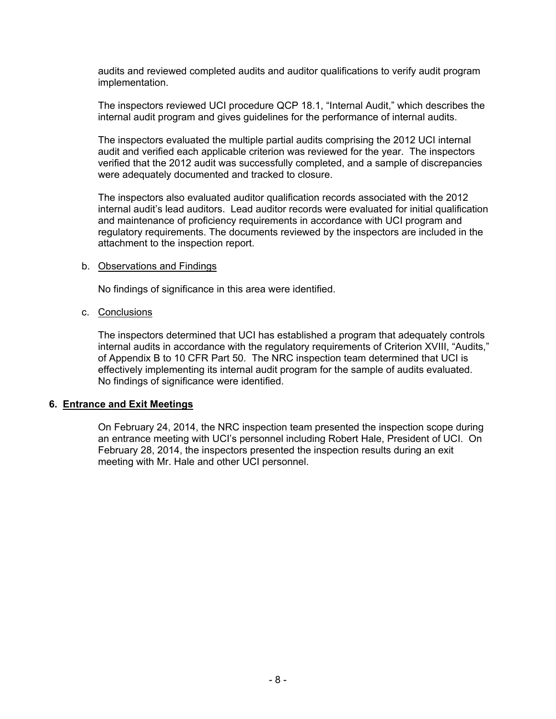audits and reviewed completed audits and auditor qualifications to verify audit program implementation.

The inspectors reviewed UCI procedure QCP 18.1, "Internal Audit," which describes the internal audit program and gives guidelines for the performance of internal audits.

The inspectors evaluated the multiple partial audits comprising the 2012 UCI internal audit and verified each applicable criterion was reviewed for the year. The inspectors verified that the 2012 audit was successfully completed, and a sample of discrepancies were adequately documented and tracked to closure.

The inspectors also evaluated auditor qualification records associated with the 2012 internal audit's lead auditors. Lead auditor records were evaluated for initial qualification and maintenance of proficiency requirements in accordance with UCI program and regulatory requirements. The documents reviewed by the inspectors are included in the attachment to the inspection report.

#### b. Observations and Findings

No findings of significance in this area were identified.

#### c. Conclusions

The inspectors determined that UCI has established a program that adequately controls internal audits in accordance with the regulatory requirements of Criterion XVIII, "Audits," of Appendix B to 10 CFR Part 50. The NRC inspection team determined that UCI is effectively implementing its internal audit program for the sample of audits evaluated. No findings of significance were identified.

## **6. Entrance and Exit Meetings**

On February 24, 2014, the NRC inspection team presented the inspection scope during an entrance meeting with UCI's personnel including Robert Hale, President of UCI. On February 28, 2014, the inspectors presented the inspection results during an exit meeting with Mr. Hale and other UCI personnel.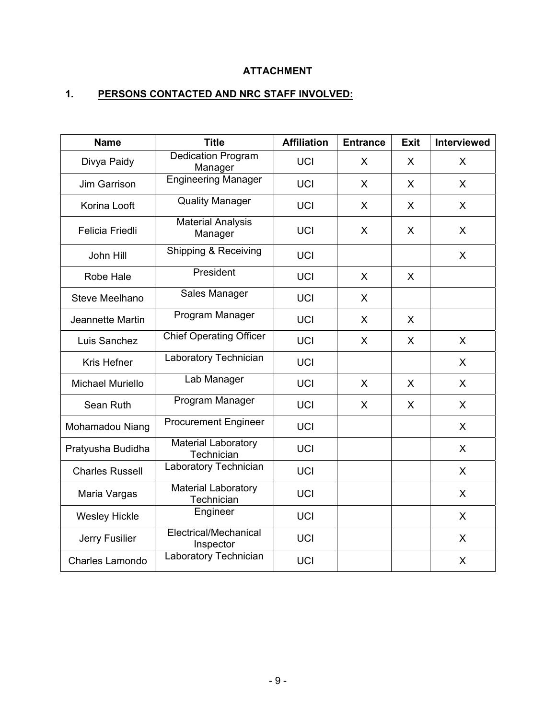# **ATTACHMENT**

# **1. PERSONS CONTACTED AND NRC STAFF INVOLVED:**

| <b>Name</b>             | <b>Title</b>                             | <b>Affiliation</b> | <b>Entrance</b> | <b>Exit</b> | Interviewed  |
|-------------------------|------------------------------------------|--------------------|-----------------|-------------|--------------|
| Divya Paidy             | Dedication Program<br>Manager            | <b>UCI</b>         | X               | X           | X            |
| Jim Garrison            | <b>Engineering Manager</b>               | <b>UCI</b>         | X               | X           | $\sf X$      |
| Korina Looft            | <b>Quality Manager</b>                   | <b>UCI</b>         | X               | X           | $\mathsf{X}$ |
| Felicia Friedli         | <b>Material Analysis</b><br>Manager      | <b>UCI</b>         | X               | X           | X            |
| John Hill               | Shipping & Receiving                     | <b>UCI</b>         |                 |             | X            |
| Robe Hale               | President                                | <b>UCI</b>         | X               | X           |              |
| Steve Meelhano          | Sales Manager                            | <b>UCI</b>         | X               |             |              |
| Jeannette Martin        | Program Manager                          | <b>UCI</b>         | X               | X           |              |
| Luis Sanchez            | <b>Chief Operating Officer</b>           | <b>UCI</b>         | X               | X           | X.           |
| Kris Hefner             | Laboratory Technician                    | <b>UCI</b>         |                 |             | X            |
| <b>Michael Muriello</b> | Lab Manager                              | <b>UCI</b>         | X               | X           | $\sf X$      |
| Sean Ruth               | Program Manager                          | <b>UCI</b>         | X               | X           | X            |
| Mohamadou Niang         | <b>Procurement Engineer</b>              | <b>UCI</b>         |                 |             | $\mathsf{X}$ |
| Pratyusha Budidha       | <b>Material Laboratory</b><br>Technician | <b>UCI</b>         |                 |             | $\sf X$      |
| <b>Charles Russell</b>  | Laboratory Technician                    | <b>UCI</b>         |                 |             | $\mathsf{X}$ |
| Maria Vargas            | <b>Material Laboratory</b><br>Technician | <b>UCI</b>         |                 |             | $\mathsf{X}$ |
| <b>Wesley Hickle</b>    | Engineer                                 | <b>UCI</b>         |                 |             | $\mathsf{X}$ |
| Jerry Fusilier          | Electrical/Mechanical<br>Inspector       | <b>UCI</b>         |                 |             | $\sf X$      |
| <b>Charles Lamondo</b>  | Laboratory Technician                    | <b>UCI</b>         |                 |             | X            |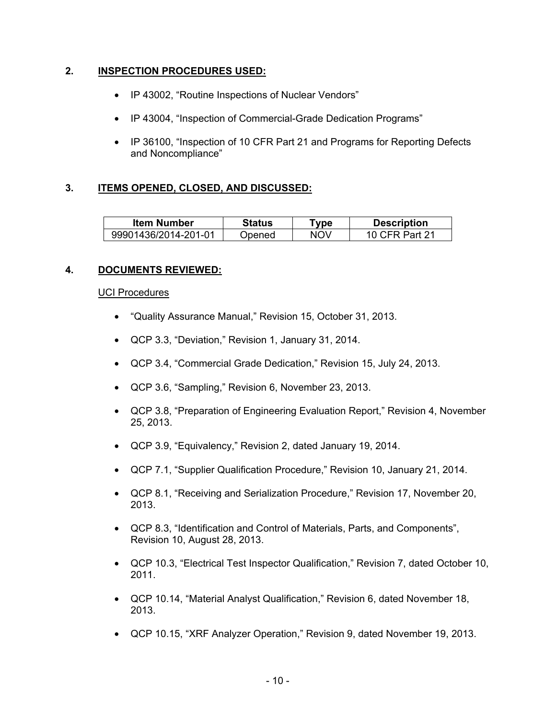## **2. INSPECTION PROCEDURES USED:**

- IP 43002, "Routine Inspections of Nuclear Vendors"
- IP 43004, "Inspection of Commercial-Grade Dedication Programs"
- IP 36100, "Inspection of 10 CFR Part 21 and Programs for Reporting Defects and Noncompliance"

## **3. ITEMS OPENED, CLOSED, AND DISCUSSED:**

| <b>Item Number</b>   | <b>Status</b> | vpe | <b>Description</b>     |
|----------------------|---------------|-----|------------------------|
| 99901436/2014-201-01 | ⊃pened        | NOV | `FR Part 21<br>10 CER. |

## **4. DOCUMENTS REVIEWED:**

#### UCI Procedures

- "Quality Assurance Manual," Revision 15, October 31, 2013.
- QCP 3.3, "Deviation," Revision 1, January 31, 2014.
- QCP 3.4, "Commercial Grade Dedication," Revision 15, July 24, 2013.
- QCP 3.6, "Sampling," Revision 6, November 23, 2013.
- QCP 3.8, "Preparation of Engineering Evaluation Report," Revision 4, November 25, 2013.
- QCP 3.9, "Equivalency," Revision 2, dated January 19, 2014.
- QCP 7.1, "Supplier Qualification Procedure," Revision 10, January 21, 2014.
- QCP 8.1, "Receiving and Serialization Procedure," Revision 17, November 20, 2013.
- QCP 8.3, "Identification and Control of Materials, Parts, and Components", Revision 10, August 28, 2013.
- QCP 10.3, "Electrical Test Inspector Qualification," Revision 7, dated October 10, 2011.
- QCP 10.14, "Material Analyst Qualification," Revision 6, dated November 18, 2013.
- QCP 10.15, "XRF Analyzer Operation," Revision 9, dated November 19, 2013.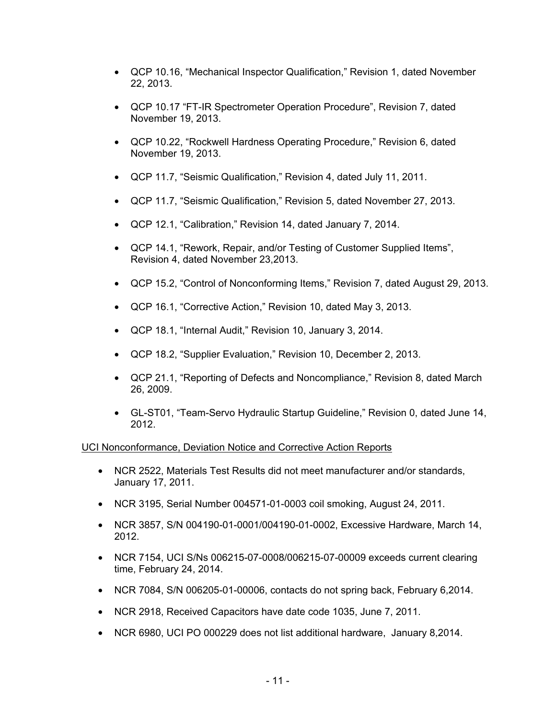- QCP 10.16, "Mechanical Inspector Qualification," Revision 1, dated November 22, 2013.
- QCP 10.17 "FT-IR Spectrometer Operation Procedure", Revision 7, dated November 19, 2013.
- QCP 10.22, "Rockwell Hardness Operating Procedure," Revision 6, dated November 19, 2013.
- QCP 11.7, "Seismic Qualification," Revision 4, dated July 11, 2011.
- QCP 11.7, "Seismic Qualification," Revision 5, dated November 27, 2013.
- QCP 12.1, "Calibration," Revision 14, dated January 7, 2014.
- QCP 14.1, "Rework, Repair, and/or Testing of Customer Supplied Items", Revision 4, dated November 23,2013.
- QCP 15.2, "Control of Nonconforming Items," Revision 7, dated August 29, 2013.
- QCP 16.1, "Corrective Action," Revision 10, dated May 3, 2013.
- QCP 18.1, "Internal Audit," Revision 10, January 3, 2014.
- QCP 18.2, "Supplier Evaluation," Revision 10, December 2, 2013.
- QCP 21.1, "Reporting of Defects and Noncompliance," Revision 8, dated March 26, 2009.
- GL-ST01, "Team-Servo Hydraulic Startup Guideline," Revision 0, dated June 14, 2012.

## UCI Nonconformance, Deviation Notice and Corrective Action Reports

- NCR 2522, Materials Test Results did not meet manufacturer and/or standards, January 17, 2011.
- NCR 3195, Serial Number 004571-01-0003 coil smoking, August 24, 2011.
- NCR 3857, S/N 004190-01-0001/004190-01-0002, Excessive Hardware, March 14, 2012.
- NCR 7154, UCI S/Ns 006215-07-0008/006215-07-00009 exceeds current clearing time, February 24, 2014.
- NCR 7084, S/N 006205-01-00006, contacts do not spring back, February 6,2014.
- NCR 2918, Received Capacitors have date code 1035, June 7, 2011.
- NCR 6980, UCI PO 000229 does not list additional hardware, January 8,2014.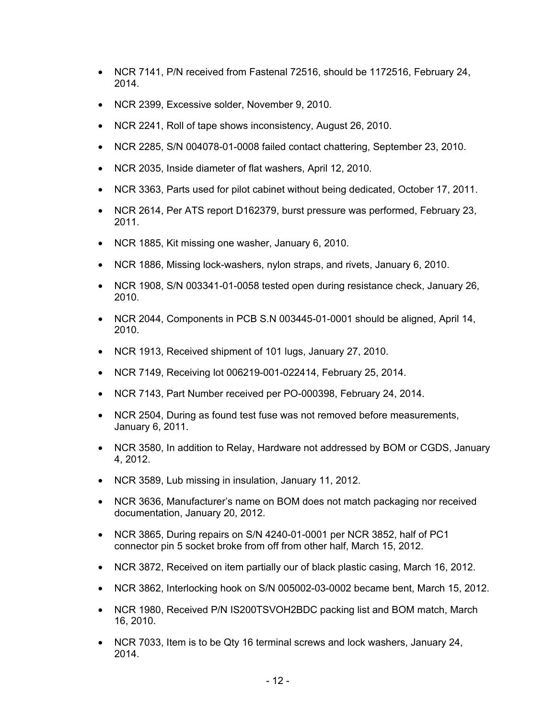- NCR 7141, P/N received from Fastenal 72516, should be 1172516, February 24, 2014.
- NCR 2399, Excessive solder, November 9, 2010.
- NCR 2241, Roll of tape shows inconsistency, August 26, 2010.
- NCR 2285, S/N 004078-01-0008 failed contact chattering, September 23, 2010.
- NCR 2035, Inside diameter of flat washers, April 12, 2010.
- NCR 3363, Parts used for pilot cabinet without being dedicated, October 17, 2011.
- NCR 2614, Per ATS report D162379, burst pressure was performed, February 23, 2011.
- NCR 1885, Kit missing one washer, January 6, 2010.
- NCR 1886, Missing lock-washers, nylon straps, and rivets, January 6, 2010.
- NCR 1908, S/N 003341-01-0058 tested open during resistance check, January 26, 2010.
- NCR 2044, Components in PCB S.N 003445-01-0001 should be aligned, April 14, 2010.
- NCR 1913, Received shipment of 101 lugs, January 27, 2010.
- NCR 7149, Receiving lot 006219-001-022414, February 25, 2014.
- NCR 7143, Part Number received per PO-000398, February 24, 2014.
- NCR 2504, During as found test fuse was not removed before measurements, January 6, 2011.
- NCR 3580, In addition to Relay, Hardware not addressed by BOM or CGDS, January 4, 2012.
- NCR 3589, Lub missing in insulation, January 11, 2012.
- NCR 3636, Manufacturer's name on BOM does not match packaging nor received documentation, January 20, 2012.
- NCR 3865, During repairs on S/N 4240-01-0001 per NCR 3852, half of PC1 connector pin 5 socket broke from off from other half, March 15, 2012.
- NCR 3872, Received on item partially our of black plastic casing, March 16, 2012.
- NCR 3862, Interlocking hook on S/N 005002-03-0002 became bent, March 15, 2012.
- NCR 1980, Received P/N IS200TSVOH2BDC packing list and BOM match, March 16, 2010.
- NCR 7033, Item is to be Qty 16 terminal screws and lock washers, January 24, 2014.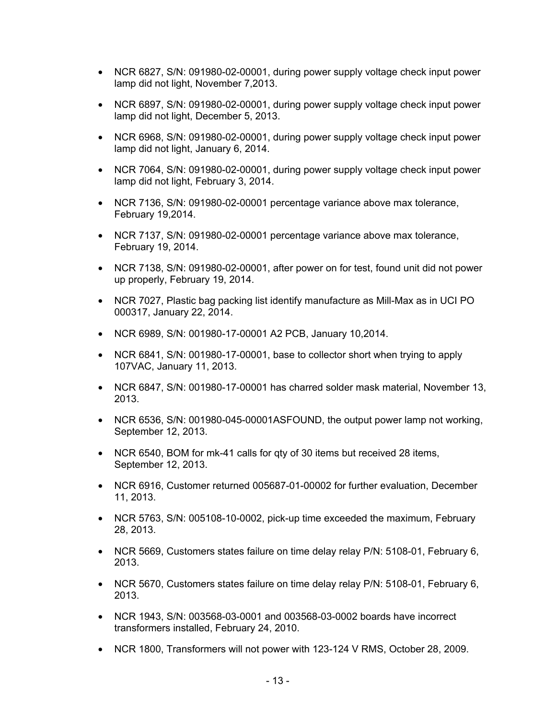- NCR 6827, S/N: 091980-02-00001, during power supply voltage check input power lamp did not light, November 7,2013.
- NCR 6897, S/N: 091980-02-00001, during power supply voltage check input power lamp did not light, December 5, 2013.
- NCR 6968, S/N: 091980-02-00001, during power supply voltage check input power lamp did not light, January 6, 2014.
- NCR 7064, S/N: 091980-02-00001, during power supply voltage check input power lamp did not light, February 3, 2014.
- NCR 7136, S/N: 091980-02-00001 percentage variance above max tolerance, February 19,2014.
- NCR 7137, S/N: 091980-02-00001 percentage variance above max tolerance, February 19, 2014.
- NCR 7138, S/N: 091980-02-00001, after power on for test, found unit did not power up properly, February 19, 2014.
- NCR 7027, Plastic bag packing list identify manufacture as Mill-Max as in UCI PO 000317, January 22, 2014.
- NCR 6989, S/N: 001980-17-00001 A2 PCB, January 10,2014.
- NCR 6841, S/N: 001980-17-00001, base to collector short when trying to apply 107VAC, January 11, 2013.
- NCR 6847, S/N: 001980-17-00001 has charred solder mask material, November 13, 2013.
- NCR 6536, S/N: 001980-045-00001ASFOUND, the output power lamp not working, September 12, 2013.
- NCR 6540, BOM for mk-41 calls for qty of 30 items but received 28 items, September 12, 2013.
- NCR 6916, Customer returned 005687-01-00002 for further evaluation, December 11, 2013.
- NCR 5763, S/N: 005108-10-0002, pick-up time exceeded the maximum, February 28, 2013.
- NCR 5669, Customers states failure on time delay relay P/N: 5108-01, February 6, 2013.
- NCR 5670, Customers states failure on time delay relay P/N: 5108-01, February 6, 2013.
- NCR 1943, S/N: 003568-03-0001 and 003568-03-0002 boards have incorrect transformers installed, February 24, 2010.
- NCR 1800, Transformers will not power with 123-124 V RMS, October 28, 2009.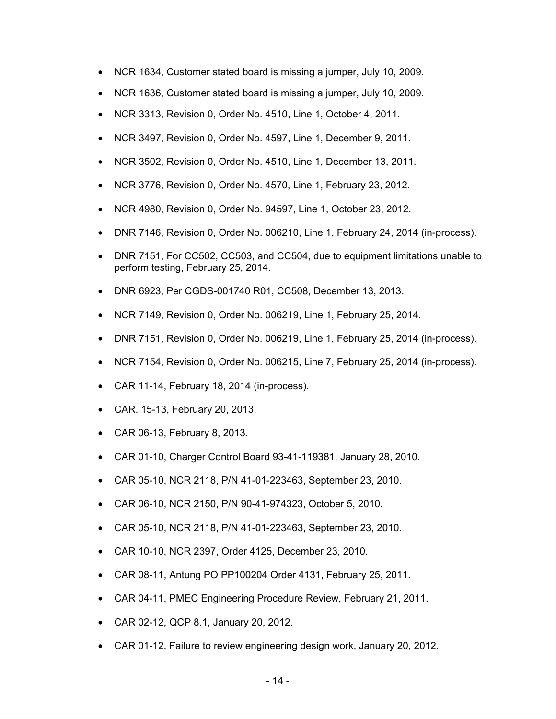- NCR 1634, Customer stated board is missing a jumper, July 10, 2009.
- NCR 1636, Customer stated board is missing a jumper, July 10, 2009.
- NCR 3313, Revision 0, Order No. 4510, Line 1, October 4, 2011.
- NCR 3497, Revision 0, Order No. 4597, Line 1, December 9, 2011.
- NCR 3502, Revision 0, Order No. 4510, Line 1, December 13, 2011.
- NCR 3776, Revision 0, Order No. 4570, Line 1, February 23, 2012.
- NCR 4980, Revision 0, Order No. 94597, Line 1, October 23, 2012.
- DNR 7146, Revision 0, Order No. 006210, Line 1, February 24, 2014 (in-process).
- DNR 7151, For CC502, CC503, and CC504, due to equipment limitations unable to perform testing, February 25, 2014.
- DNR 6923, Per CGDS-001740 R01, CC508, December 13, 2013.
- NCR 7149, Revision 0, Order No. 006219, Line 1, February 25, 2014.
- DNR 7151, Revision 0, Order No. 006219, Line 1, February 25, 2014 (in-process).
- NCR 7154, Revision 0, Order No. 006215, Line 7, February 25, 2014 (in-process).
- CAR 11-14, February 18, 2014 (in-process).
- CAR. 15-13, February 20, 2013.
- CAR 06-13, February 8, 2013.
- CAR 01-10, Charger Control Board 93-41-119381, January 28, 2010.
- CAR 05-10, NCR 2118, P/N 41-01-223463, September 23, 2010.
- CAR 06-10, NCR 2150, P/N 90-41-974323, October 5, 2010.
- CAR 05-10, NCR 2118, P/N 41-01-223463, September 23, 2010.
- CAR 10-10, NCR 2397, Order 4125, December 23, 2010.
- CAR 08-11, Antung PO PP100204 Order 4131, February 25, 2011.
- CAR 04-11, PMEC Engineering Procedure Review, February 21, 2011.
- CAR 02-12, QCP 8.1, January 20, 2012.
- CAR 01-12, Failure to review engineering design work, January 20, 2012.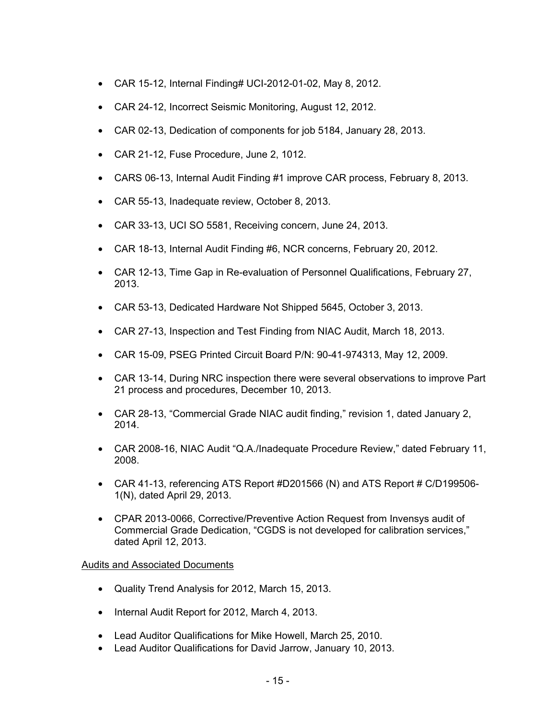- CAR 15-12, Internal Finding# UCI-2012-01-02, May 8, 2012.
- CAR 24-12, Incorrect Seismic Monitoring, August 12, 2012.
- CAR 02-13, Dedication of components for job 5184, January 28, 2013.
- CAR 21-12, Fuse Procedure, June 2, 1012.
- CARS 06-13, Internal Audit Finding #1 improve CAR process, February 8, 2013.
- CAR 55-13, Inadequate review, October 8, 2013.
- CAR 33-13, UCI SO 5581, Receiving concern, June 24, 2013.
- CAR 18-13, Internal Audit Finding #6, NCR concerns, February 20, 2012.
- CAR 12-13, Time Gap in Re-evaluation of Personnel Qualifications, February 27, 2013.
- CAR 53-13, Dedicated Hardware Not Shipped 5645, October 3, 2013.
- CAR 27-13, Inspection and Test Finding from NIAC Audit, March 18, 2013.
- CAR 15-09, PSEG Printed Circuit Board P/N: 90-41-974313, May 12, 2009.
- CAR 13-14, During NRC inspection there were several observations to improve Part 21 process and procedures, December 10, 2013.
- CAR 28-13, "Commercial Grade NIAC audit finding," revision 1, dated January 2, 2014.
- CAR 2008-16, NIAC Audit "Q.A./Inadequate Procedure Review," dated February 11, 2008.
- CAR 41-13, referencing ATS Report #D201566 (N) and ATS Report # C/D199506-1(N), dated April 29, 2013.
- CPAR 2013-0066, Corrective/Preventive Action Request from Invensys audit of Commercial Grade Dedication, "CGDS is not developed for calibration services," dated April 12, 2013.

## Audits and Associated Documents

- Quality Trend Analysis for 2012, March 15, 2013.
- Internal Audit Report for 2012, March 4, 2013.
- Lead Auditor Qualifications for Mike Howell, March 25, 2010.
- Lead Auditor Qualifications for David Jarrow, January 10, 2013.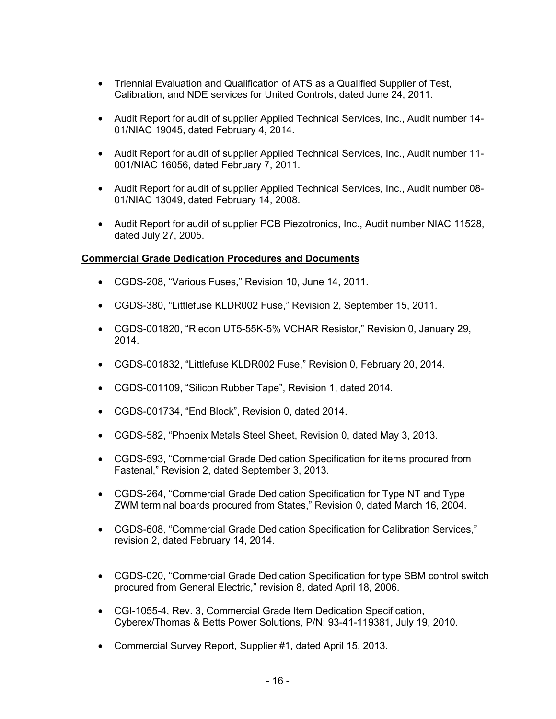- Triennial Evaluation and Qualification of ATS as a Qualified Supplier of Test, Calibration, and NDE services for United Controls, dated June 24, 2011.
- Audit Report for audit of supplier Applied Technical Services, Inc., Audit number 14- 01/NIAC 19045, dated February 4, 2014.
- Audit Report for audit of supplier Applied Technical Services, Inc., Audit number 11- 001/NIAC 16056, dated February 7, 2011.
- Audit Report for audit of supplier Applied Technical Services, Inc., Audit number 08- 01/NIAC 13049, dated February 14, 2008.
- Audit Report for audit of supplier PCB Piezotronics, Inc., Audit number NIAC 11528, dated July 27, 2005.

## **Commercial Grade Dedication Procedures and Documents**

- CGDS-208, "Various Fuses," Revision 10, June 14, 2011.
- CGDS-380, "Littlefuse KLDR002 Fuse," Revision 2, September 15, 2011.
- CGDS-001820, "Riedon UT5-55K-5% VCHAR Resistor," Revision 0, January 29, 2014.
- CGDS-001832, "Littlefuse KLDR002 Fuse," Revision 0, February 20, 2014.
- CGDS-001109, "Silicon Rubber Tape", Revision 1, dated 2014.
- CGDS-001734, "End Block", Revision 0, dated 2014.
- CGDS-582, "Phoenix Metals Steel Sheet, Revision 0, dated May 3, 2013.
- CGDS-593, "Commercial Grade Dedication Specification for items procured from Fastenal," Revision 2, dated September 3, 2013.
- CGDS-264, "Commercial Grade Dedication Specification for Type NT and Type ZWM terminal boards procured from States," Revision 0, dated March 16, 2004.
- CGDS-608, "Commercial Grade Dedication Specification for Calibration Services," revision 2, dated February 14, 2014.
- CGDS-020, "Commercial Grade Dedication Specification for type SBM control switch procured from General Electric," revision 8, dated April 18, 2006.
- CGI-1055-4, Rev. 3, Commercial Grade Item Dedication Specification, Cyberex/Thomas & Betts Power Solutions, P/N: 93-41-119381, July 19, 2010.
- Commercial Survey Report, Supplier #1, dated April 15, 2013.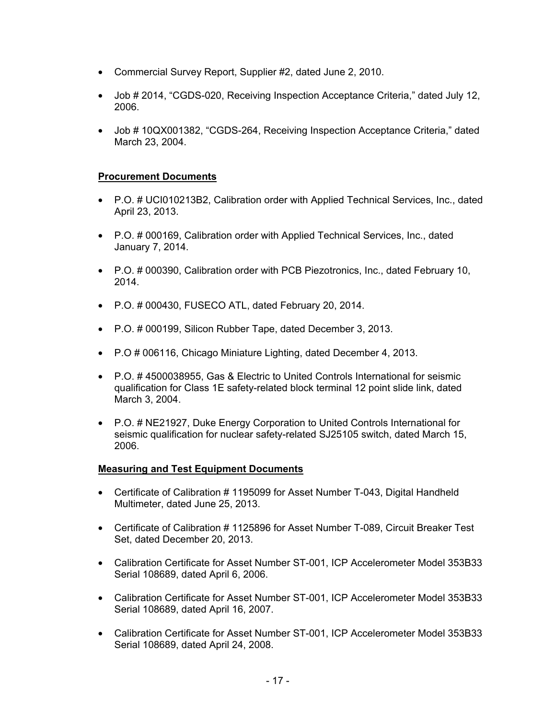- Commercial Survey Report, Supplier #2, dated June 2, 2010.
- Job # 2014, "CGDS-020, Receiving Inspection Acceptance Criteria," dated July 12, 2006.
- Job # 10QX001382, "CGDS-264, Receiving Inspection Acceptance Criteria," dated March 23, 2004.

## **Procurement Documents**

- P.O. # UCI010213B2, Calibration order with Applied Technical Services, Inc., dated April 23, 2013.
- P.O. # 000169, Calibration order with Applied Technical Services, Inc., dated January 7, 2014.
- P.O. # 000390, Calibration order with PCB Piezotronics, Inc., dated February 10, 2014.
- P.O. # 000430, FUSECO ATL, dated February 20, 2014.
- P.O. # 000199, Silicon Rubber Tape, dated December 3, 2013.
- P.O # 006116, Chicago Miniature Lighting, dated December 4, 2013.
- P.O. # 4500038955, Gas & Electric to United Controls International for seismic qualification for Class 1E safety-related block terminal 12 point slide link, dated March 3, 2004.
- P.O. # NE21927, Duke Energy Corporation to United Controls International for seismic qualification for nuclear safety-related SJ25105 switch, dated March 15, 2006.

#### **Measuring and Test Equipment Documents**

- Certificate of Calibration # 1195099 for Asset Number T-043, Digital Handheld Multimeter, dated June 25, 2013.
- Certificate of Calibration # 1125896 for Asset Number T-089, Circuit Breaker Test Set, dated December 20, 2013.
- Calibration Certificate for Asset Number ST-001, ICP Accelerometer Model 353B33 Serial 108689, dated April 6, 2006.
- Calibration Certificate for Asset Number ST-001, ICP Accelerometer Model 353B33 Serial 108689, dated April 16, 2007.
- Calibration Certificate for Asset Number ST-001, ICP Accelerometer Model 353B33 Serial 108689, dated April 24, 2008.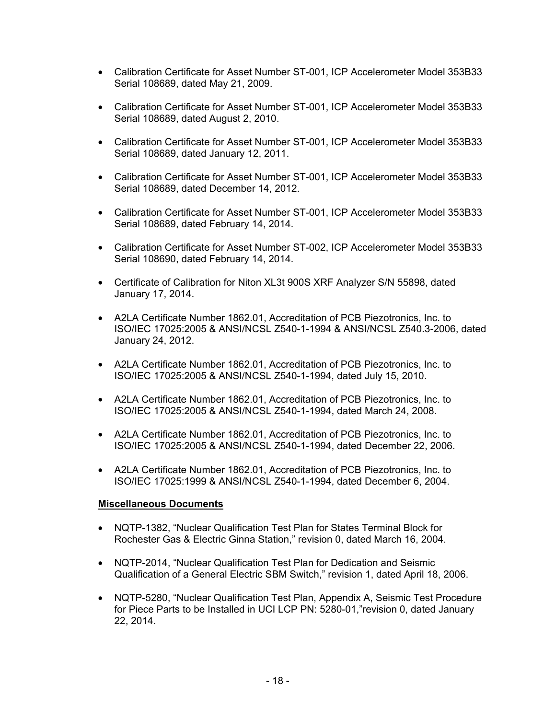- Calibration Certificate for Asset Number ST-001, ICP Accelerometer Model 353B33 Serial 108689, dated May 21, 2009.
- Calibration Certificate for Asset Number ST-001, ICP Accelerometer Model 353B33 Serial 108689, dated August 2, 2010.
- Calibration Certificate for Asset Number ST-001, ICP Accelerometer Model 353B33 Serial 108689, dated January 12, 2011.
- Calibration Certificate for Asset Number ST-001, ICP Accelerometer Model 353B33 Serial 108689, dated December 14, 2012.
- Calibration Certificate for Asset Number ST-001, ICP Accelerometer Model 353B33 Serial 108689, dated February 14, 2014.
- Calibration Certificate for Asset Number ST-002, ICP Accelerometer Model 353B33 Serial 108690, dated February 14, 2014.
- Certificate of Calibration for Niton XL3t 900S XRF Analyzer S/N 55898, dated January 17, 2014.
- A2LA Certificate Number 1862.01, Accreditation of PCB Piezotronics, Inc. to ISO/IEC 17025:2005 & ANSI/NCSL Z540-1-1994 & ANSI/NCSL Z540.3-2006, dated January 24, 2012.
- A2LA Certificate Number 1862.01, Accreditation of PCB Piezotronics, Inc. to ISO/IEC 17025:2005 & ANSI/NCSL Z540-1-1994, dated July 15, 2010.
- A2LA Certificate Number 1862.01, Accreditation of PCB Piezotronics, Inc. to ISO/IEC 17025:2005 & ANSI/NCSL Z540-1-1994, dated March 24, 2008.
- A2LA Certificate Number 1862.01, Accreditation of PCB Piezotronics, Inc. to ISO/IEC 17025:2005 & ANSI/NCSL Z540-1-1994, dated December 22, 2006.
- A2LA Certificate Number 1862.01, Accreditation of PCB Piezotronics, Inc. to ISO/IEC 17025:1999 & ANSI/NCSL Z540-1-1994, dated December 6, 2004.

## **Miscellaneous Documents**

- NQTP-1382, "Nuclear Qualification Test Plan for States Terminal Block for Rochester Gas & Electric Ginna Station," revision 0, dated March 16, 2004.
- NQTP-2014, "Nuclear Qualification Test Plan for Dedication and Seismic Qualification of a General Electric SBM Switch," revision 1, dated April 18, 2006.
- NQTP-5280, "Nuclear Qualification Test Plan, Appendix A, Seismic Test Procedure for Piece Parts to be Installed in UCI LCP PN: 5280-01,"revision 0, dated January 22, 2014.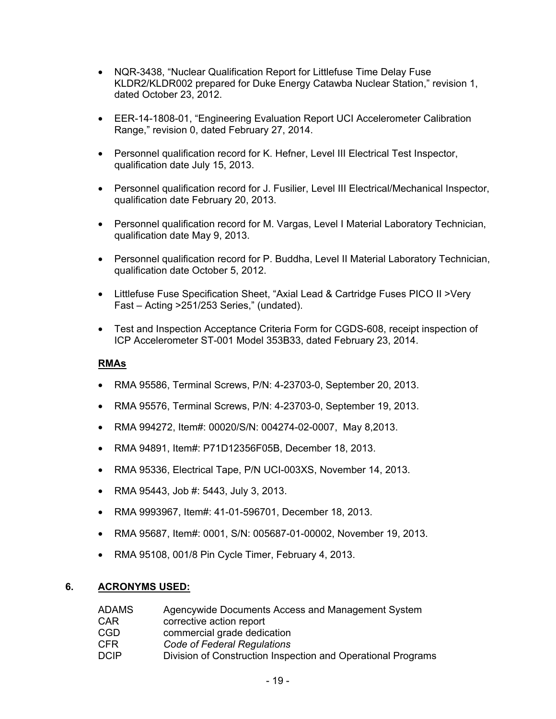- NQR-3438, "Nuclear Qualification Report for Littlefuse Time Delay Fuse KLDR2/KLDR002 prepared for Duke Energy Catawba Nuclear Station," revision 1, dated October 23, 2012.
- EER-14-1808-01, "Engineering Evaluation Report UCI Accelerometer Calibration Range," revision 0, dated February 27, 2014.
- Personnel qualification record for K. Hefner, Level III Electrical Test Inspector, qualification date July 15, 2013.
- Personnel qualification record for J. Fusilier, Level III Electrical/Mechanical Inspector, qualification date February 20, 2013.
- Personnel qualification record for M. Vargas, Level I Material Laboratory Technician, qualification date May 9, 2013.
- Personnel qualification record for P. Buddha, Level II Material Laboratory Technician, qualification date October 5, 2012.
- Littlefuse Fuse Specification Sheet, "Axial Lead & Cartridge Fuses PICO II >Very Fast – Acting >251/253 Series," (undated).
- Test and Inspection Acceptance Criteria Form for CGDS-608, receipt inspection of ICP Accelerometer ST-001 Model 353B33, dated February 23, 2014.

## **RMAs**

- RMA 95586, Terminal Screws, P/N: 4-23703-0, September 20, 2013.
- RMA 95576, Terminal Screws, P/N: 4-23703-0, September 19, 2013.
- RMA 994272, Item#: 00020/S/N: 004274-02-0007, May 8,2013.
- RMA 94891, Item#: P71D12356F05B, December 18, 2013.
- RMA 95336, Electrical Tape, P/N UCI-003XS, November 14, 2013.
- RMA 95443, Job #: 5443, July 3, 2013.
- RMA 9993967, Item#: 41-01-596701, December 18, 2013.
- RMA 95687, Item#: 0001, S/N: 005687-01-00002, November 19, 2013.
- RMA 95108, 001/8 Pin Cycle Timer, February 4, 2013.

## **6. ACRONYMS USED:**

| ADAMS | Agencywide Documents Access and Management System            |
|-------|--------------------------------------------------------------|
| CAR   | corrective action report                                     |
| CGD   | commercial grade dedication                                  |
| CFR   | Code of Federal Regulations                                  |
| DCIP  | Division of Construction Inspection and Operational Programs |